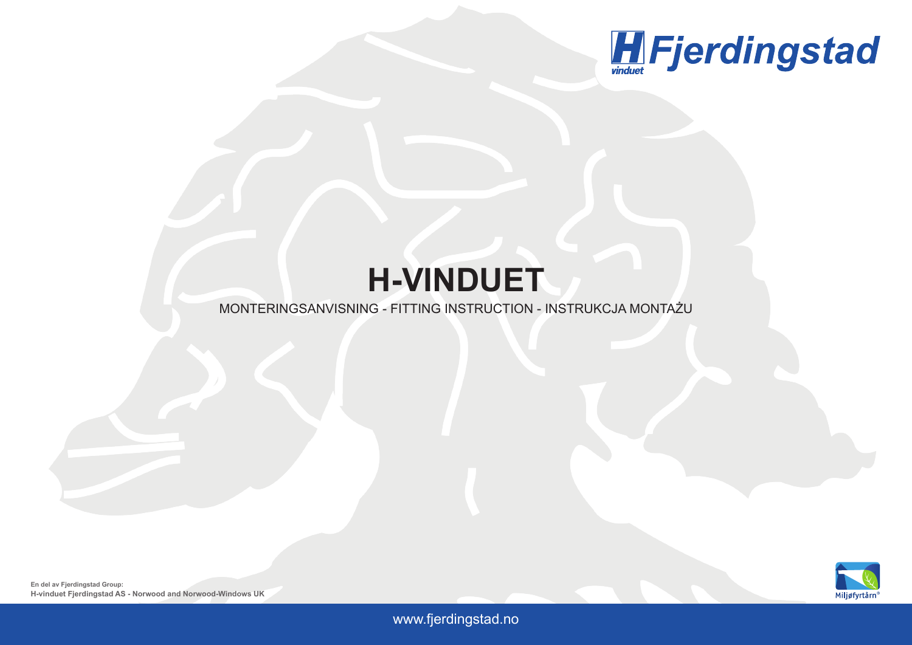

## **H-VINDUET**

## MONTERINGSANVISNING - FITTING INSTRUCTION - INSTRUKCJA MONTAŻU



www.fjerdingstad.no